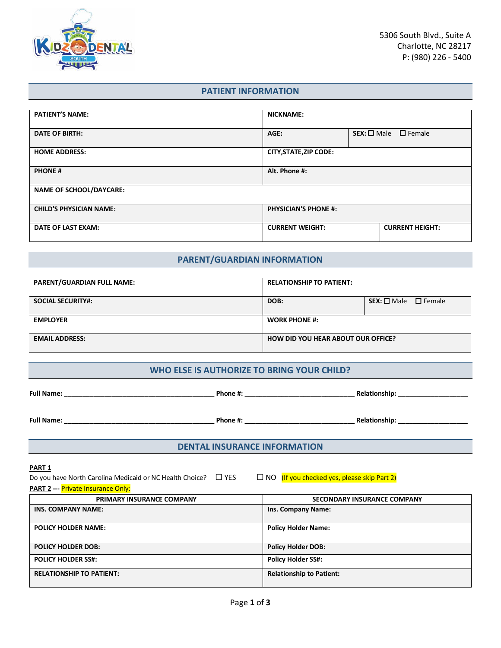

# **PATIENT INFORMATION**

| <b>PATIENT'S NAME:</b>         | <b>NICKNAME:</b>                                 |                                    |
|--------------------------------|--------------------------------------------------|------------------------------------|
| <b>DATE OF BIRTH:</b>          | AGE:                                             | $SEX: \square Male \square Female$ |
| <b>HOME ADDRESS:</b>           | <b>CITY, STATE, ZIP CODE:</b>                    |                                    |
| <b>PHONE#</b>                  | Alt. Phone #:                                    |                                    |
| <b>NAME OF SCHOOL/DAYCARE:</b> |                                                  |                                    |
| <b>CHILD'S PHYSICIAN NAME:</b> | <b>PHYSICIAN'S PHONE #:</b>                      |                                    |
| <b>DATE OF LAST EXAM:</b>      | <b>CURRENT WEIGHT:</b><br><b>CURRENT HEIGHT:</b> |                                    |

# **PARENT/GUARDIAN INFORMATION**

| <b>PARENT/GUARDIAN FULL NAME:</b> | <b>RELATIONSHIP TO PATIENT:</b>           |                                |
|-----------------------------------|-------------------------------------------|--------------------------------|
| <b>SOCIAL SECURITY#:</b>          | DOB:                                      | $SEX: \Box$ Male $\Box$ Female |
| <b>EMPLOYER</b>                   | <b>WORK PHONE #:</b>                      |                                |
| <b>EMAIL ADDRESS:</b>             | <b>HOW DID YOU HEAR ABOUT OUR OFFICE?</b> |                                |

### **WHO ELSE IS AUTHORIZE TO BRING YOUR CHILD?**

| <b>Full Name:</b> | Phone #: | <b>Relationship:</b> |
|-------------------|----------|----------------------|
| <b>Full Name:</b> | Phone #: | <b>Relationship:</b> |

## **DENTAL INSURANCE INFORMATION**

### **PART 1**

Do you have North Carolina Medicaid or NC Health Choice?  $\Box$  YES  $\Box$  NO (If you checked yes, please skip Part 2)

|  | <b>PART 2 --- Private Insurance Only:</b> |  |
|--|-------------------------------------------|--|
|--|-------------------------------------------|--|

| <b>PRIMARY INSURANCE COMPANY</b> | SECONDARY INSURANCE COMPANY     |
|----------------------------------|---------------------------------|
| INS. COMPANY NAME:               | <b>Ins. Company Name:</b>       |
| <b>POLICY HOLDER NAME:</b>       | <b>Policy Holder Name:</b>      |
| <b>POLICY HOLDER DOB:</b>        | <b>Policy Holder DOB:</b>       |
| <b>POLICY HOLDER SS#:</b>        | <b>Policy Holder SS#:</b>       |
| <b>RELATIONSHIP TO PATIENT:</b>  | <b>Relationship to Patient:</b> |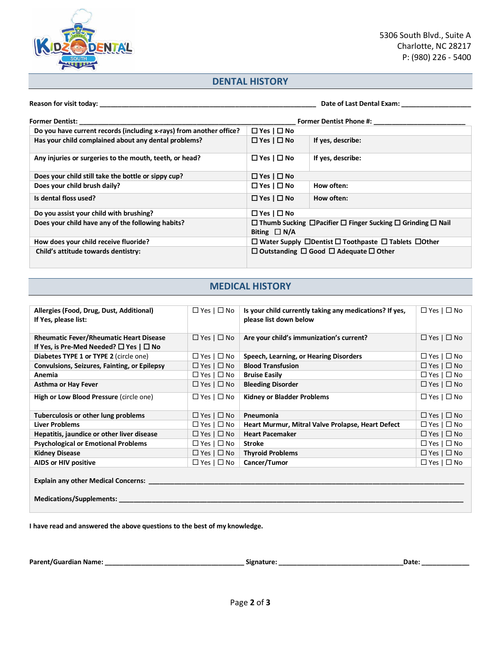

## **DENTAL HISTORY**

**Reason for visit today: \_\_\_\_\_\_\_\_\_\_\_\_\_\_\_\_\_\_\_\_\_\_\_\_\_\_\_\_\_\_\_\_\_\_\_\_\_\_\_\_\_\_\_\_\_\_\_\_\_\_\_\_\_\_\_\_\_\_\_ Date of Last Dental Exam: \_\_\_\_\_\_\_\_\_\_\_\_\_\_\_\_\_\_\_**

| <b>Former Dentist:</b>                                              | <b>Former Dentist Phone #:</b> |                                                                                        |
|---------------------------------------------------------------------|--------------------------------|----------------------------------------------------------------------------------------|
| Do you have current records (including x-rays) from another office? | $\Box$ Yes $\Box$ No           |                                                                                        |
| Has your child complained about any dental problems?                | $\Box$ Yes $\Box$ No           | If yes, describe:                                                                      |
| Any injuries or surgeries to the mouth, teeth, or head?             | $\Box$ Yes $\Box$ No           | If yes, describe:                                                                      |
| Does your child still take the bottle or sippy cup?                 | $\Box$ Yes   $\Box$ No         |                                                                                        |
| Does your child brush daily?                                        | $\Box$ Yes $\Box$ No           | How often:                                                                             |
| Is dental floss used?                                               | $\Box$ Yes $\Box$ No           | How often:                                                                             |
| Do you assist your child with brushing?                             | $\Box$ Yes   $\Box$ No         |                                                                                        |
| Does your child have any of the following habits?                   | Biting $\Box N/A$              | $\Box$ Thumb Sucking $\Box$ Pacifier $\Box$ Finger Sucking $\Box$ Grinding $\Box$ Nail |
| How does your child receive fluoride?                               |                                | $\Box$ Water Supply $\Box$ Dentist $\Box$ Toothpaste $\Box$ Tablets $\Box$ Other       |
| Child's attitude towards dentistry:                                 |                                | $\Box$ Outstanding $\Box$ Good $\Box$ Adequate $\Box$ Other                            |

# **MEDICAL HISTORY**

| Allergies (Food, Drug, Dust, Additional)<br>If Yes, please list:                                        | $\Box$ Yes   $\Box$ No | Is your child currently taking any medications? If yes,<br>please list down below | $\Box$ Yes $\Box$ No   |
|---------------------------------------------------------------------------------------------------------|------------------------|-----------------------------------------------------------------------------------|------------------------|
| <b>Rheumatic Fever/Rheumatic Heart Disease</b><br>If Yes, is Pre-Med Needed? $\square$ Yes $\square$ No | $\Box$ Yes $\Box$ No   | Are your child's immunization's current?                                          | $\Box$ Yes $\Box$ No   |
| Diabetes TYPE 1 or TYPE 2 (circle one)                                                                  | $\Box$ Yes   $\Box$ No | Speech, Learning, or Hearing Disorders                                            | $\Box$ Yes $\Box$ No   |
| Convulsions, Seizures, Fainting, or Epilepsy                                                            | $\Box$ Yes   $\Box$ No | <b>Blood Transfusion</b>                                                          | $\Box$ Yes   $\Box$ No |
| Anemia                                                                                                  | $\Box$ Yes   $\Box$ No | <b>Bruise Easily</b>                                                              | $\Box$ Yes   $\Box$ No |
| <b>Asthma or Hay Fever</b>                                                                              | $\Box$ Yes   $\Box$ No | <b>Bleeding Disorder</b>                                                          | $\Box$ Yes   $\Box$ No |
| High or Low Blood Pressure (circle one)                                                                 | $\Box$ Yes   $\Box$ No | <b>Kidney or Bladder Problems</b>                                                 | $\Box$ Yes $\Box$ No   |
| Tuberculosis or other lung problems                                                                     | $\Box$ Yes   $\Box$ No | Pneumonia                                                                         | $\Box$ Yes $\Box$ No   |
| <b>Liver Problems</b>                                                                                   | $\Box$ Yes   $\Box$ No | Heart Murmur, Mitral Valve Prolapse, Heart Defect                                 | $\Box$ Yes $\Box$ No   |
| Hepatitis, jaundice or other liver disease                                                              | $\Box$ Yes   $\Box$ No | <b>Heart Pacemaker</b>                                                            | $\Box$ Yes $\Box$ No   |
| <b>Psychological or Emotional Problems</b>                                                              | $\Box$ Yes   $\Box$ No | <b>Stroke</b>                                                                     | $\Box$ Yes $\Box$ No   |
| <b>Kidney Disease</b>                                                                                   | $\Box$ Yes   $\Box$ No | <b>Thyroid Problems</b>                                                           | $\Box$ Yes $\Box$ No   |
| AIDS or HIV positive                                                                                    | $\Box$ Yes   $\Box$ No | Cancer/Tumor                                                                      | $\Box$ Yes $\Box$ No   |
| <b>Explain any other Medical Concerns:</b><br>Medications/Supplements: _                                |                        |                                                                                   |                        |

**I have read and answered the above questions to the best of my knowledge.**

**Parent/Guardian Name: \_\_\_\_\_\_\_\_\_\_\_\_\_\_\_\_\_\_\_\_\_\_\_\_\_\_\_\_\_\_\_\_\_\_\_\_\_\_ Signature: \_\_\_\_\_\_\_\_\_\_\_\_\_\_\_\_\_\_\_\_\_\_\_\_\_\_\_\_\_\_\_\_\_\_Date: \_\_\_\_\_\_\_\_\_\_\_\_\_**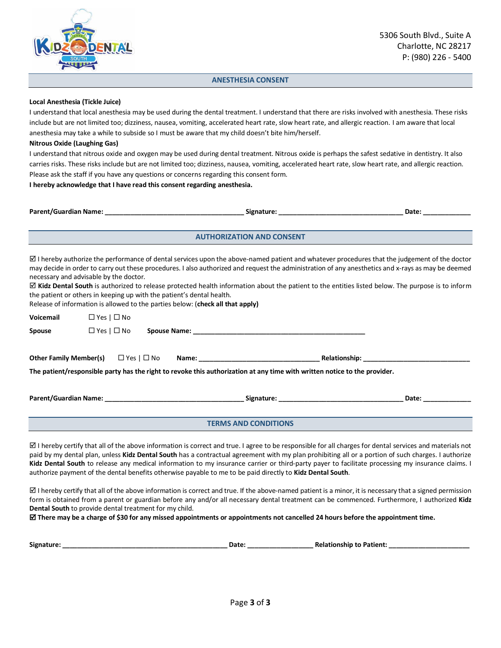

### **ANESTHESIA CONSENT**

#### **Local Anesthesia (Tickle Juice)**

I understand that local anesthesia may be used during the dental treatment. I understand that there are risks involved with anesthesia. These risks include but are not limited too; dizziness, nausea, vomiting, accelerated heart rate, slow heart rate, and allergic reaction. I am aware that local anesthesia may take a while to subside so I must be aware that my child doesn't bite him/herself.

#### **Nitrous Oxide (Laughing Gas)**

I understand that nitrous oxide and oxygen may be used during dental treatment. Nitrous oxide is perhaps the safest sedative in dentistry. It also carries risks. These risks include but are not limited too; dizziness, nausea, vomiting, accelerated heart rate, slow heart rate, and allergic reaction. Please ask the staff if you have any questions or concerns regarding this consent form.

**I hereby acknowledge that I have read this consent regarding anesthesia.**

| <b>Parent/Guardian Name:</b> | Signature: | Date |
|------------------------------|------------|------|
|                              |            |      |
|                              |            |      |

**AUTHORIZATION AND CONSENT**

 $\boxtimes$  I hereby authorize the performance of dental services upon the above-named patient and whatever procedures that the judgement of the doctor may decide in order to carry out these procedures. I also authorized and request the administration of any anesthetics and x-rays as may be deemed necessary and advisable by the doctor.

 $⊠$  **Kidz Dental South** is authorized to release protected health information about the patient to the entities listed below. The purpose is to inform the patient or others in keeping up with the patient's dental health.

Release of information is allowed to the parties below: (**check all that apply)**

| Voicemail | $\Box$ Yes   $\Box$ No      |                                                                                                                           |  |                                                                                                                                                                                                                                |
|-----------|-----------------------------|---------------------------------------------------------------------------------------------------------------------------|--|--------------------------------------------------------------------------------------------------------------------------------------------------------------------------------------------------------------------------------|
| Spouse    | $\Box$ Yes $\Box$ No        |                                                                                                                           |  |                                                                                                                                                                                                                                |
|           |                             | The patient/responsible party has the right to revoke this authorization at any time with written notice to the provider. |  |                                                                                                                                                                                                                                |
|           |                             |                                                                                                                           |  | Date: the contract of the contract of the contract of the contract of the contract of the contract of the contract of the contract of the contract of the contract of the contract of the contract of the contract of the cont |
|           | <b>TERMS AND CONDITIONS</b> |                                                                                                                           |  |                                                                                                                                                                                                                                |

 $\boxtimes$  I hereby certify that all of the above information is correct and true. I agree to be responsible for all charges for dental services and materials not paid by my dental plan, unless **Kidz Dental South** has a contractual agreement with my plan prohibiting all or a portion of such charges. I authorize **Kidz Dental South** to release any medical information to my insurance carrier or third-party payer to facilitate processing my insurance claims. I authorize payment of the dental benefits otherwise payable to me to be paid directly to **Kidz Dental South**.

 $\boxtimes$  I hereby certify that all of the above information is correct and true. If the above-named patient is a minor, it is necessary that a signed permission form is obtained from a parent or guardian before any and/or all necessary dental treatment can be commenced. Furthermore, I authorized **Kidz Dental South** to provide dental treatment for my child.

**There may be a charge of \$30 for any missed appointments or appointments not cancelled 24 hours before the appointment time.**

| Signature | ъ.<br>. | Patient<br>TIONSNID<br>- 12<br>м. |  |
|-----------|---------|-----------------------------------|--|
|           |         |                                   |  |